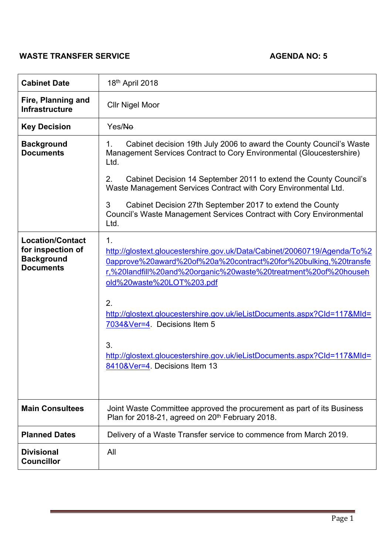# **WASTE TRANSFER SERVICE AGENDA NO: 5**

| <b>Cabinet Date</b>                                                                   | 18th April 2018                                                                                                                                                                                                                                                                                                                                                                                                                                                                        |
|---------------------------------------------------------------------------------------|----------------------------------------------------------------------------------------------------------------------------------------------------------------------------------------------------------------------------------------------------------------------------------------------------------------------------------------------------------------------------------------------------------------------------------------------------------------------------------------|
| Fire, Planning and<br><b>Infrastructure</b>                                           | <b>Cllr Nigel Moor</b>                                                                                                                                                                                                                                                                                                                                                                                                                                                                 |
| <b>Key Decision</b>                                                                   | Yes/No                                                                                                                                                                                                                                                                                                                                                                                                                                                                                 |
| <b>Background</b><br><b>Documents</b>                                                 | Cabinet decision 19th July 2006 to award the County Council's Waste<br>1.<br>Management Services Contract to Cory Environmental (Gloucestershire)<br>Ltd.<br>Cabinet Decision 14 September 2011 to extend the County Council's<br>2.<br>Waste Management Services Contract with Cory Environmental Ltd.<br>Cabinet Decision 27th September 2017 to extend the County<br>3<br>Council's Waste Management Services Contract with Cory Environmental<br>Ltd.                              |
| <b>Location/Contact</b><br>for inspection of<br><b>Background</b><br><b>Documents</b> | 1.<br>http://glostext.gloucestershire.gov.uk/Data/Cabinet/20060719/Agenda/To%2<br>0approve%20award%20of%20a%20contract%20for%20bulking,%20transfe<br>r,%20landfill%20and%20organic%20waste%20treatment%20of%20househ<br>old%20waste%20LOT%203.pdf<br>2.<br>http://glostext.gloucestershire.gov.uk/ieListDocuments.aspx?Cld=117&Mld=<br>7034&Ver=4. Decisions Item 5<br>3.<br>http://glostext.gloucestershire.gov.uk/ieListDocuments.aspx?CId=117&MId=<br>8410&Ver=4. Decisions Item 13 |
| <b>Main Consultees</b>                                                                | Joint Waste Committee approved the procurement as part of its Business<br>Plan for 2018-21, agreed on 20 <sup>th</sup> February 2018.                                                                                                                                                                                                                                                                                                                                                  |
| <b>Planned Dates</b>                                                                  | Delivery of a Waste Transfer service to commence from March 2019.                                                                                                                                                                                                                                                                                                                                                                                                                      |
| <b>Divisional</b><br><b>Councillor</b>                                                | All                                                                                                                                                                                                                                                                                                                                                                                                                                                                                    |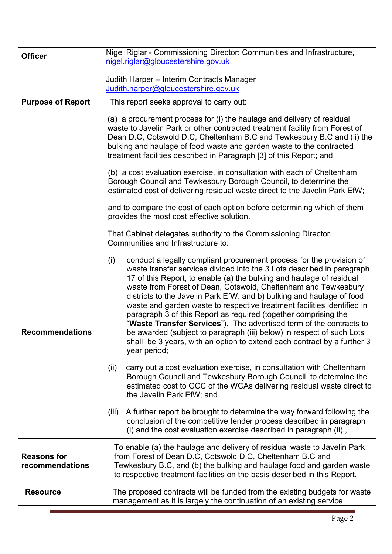| <b>Officer</b>                        | Nigel Riglar - Commissioning Director: Communities and Infrastructure,<br>nigel.riglar@gloucestershire.gov.uk                                                                                                                                                                                                                                                                                                                                                                                                                                                                                                                                                                                                                                                     |  |
|---------------------------------------|-------------------------------------------------------------------------------------------------------------------------------------------------------------------------------------------------------------------------------------------------------------------------------------------------------------------------------------------------------------------------------------------------------------------------------------------------------------------------------------------------------------------------------------------------------------------------------------------------------------------------------------------------------------------------------------------------------------------------------------------------------------------|--|
|                                       | Judith Harper - Interim Contracts Manager                                                                                                                                                                                                                                                                                                                                                                                                                                                                                                                                                                                                                                                                                                                         |  |
|                                       | Judith.harper@gloucestershire.gov.uk                                                                                                                                                                                                                                                                                                                                                                                                                                                                                                                                                                                                                                                                                                                              |  |
| <b>Purpose of Report</b>              | This report seeks approval to carry out:                                                                                                                                                                                                                                                                                                                                                                                                                                                                                                                                                                                                                                                                                                                          |  |
|                                       | (a) a procurement process for (i) the haulage and delivery of residual<br>waste to Javelin Park or other contracted treatment facility from Forest of<br>Dean D.C, Cotswold D.C, Cheltenham B.C and Tewkesbury B.C and (ii) the<br>bulking and haulage of food waste and garden waste to the contracted<br>treatment facilities described in Paragraph [3] of this Report; and                                                                                                                                                                                                                                                                                                                                                                                    |  |
|                                       | (b) a cost evaluation exercise, in consultation with each of Cheltenham<br>Borough Council and Tewkesbury Borough Council, to determine the<br>estimated cost of delivering residual waste direct to the Javelin Park EfW;                                                                                                                                                                                                                                                                                                                                                                                                                                                                                                                                        |  |
|                                       | and to compare the cost of each option before determining which of them<br>provides the most cost effective solution.                                                                                                                                                                                                                                                                                                                                                                                                                                                                                                                                                                                                                                             |  |
|                                       | That Cabinet delegates authority to the Commissioning Director,<br>Communities and Infrastructure to:                                                                                                                                                                                                                                                                                                                                                                                                                                                                                                                                                                                                                                                             |  |
| <b>Recommendations</b>                | conduct a legally compliant procurement process for the provision of<br>(i)<br>waste transfer services divided into the 3 Lots described in paragraph<br>17 of this Report, to enable (a) the bulking and haulage of residual<br>waste from Forest of Dean, Cotswold, Cheltenham and Tewkesbury<br>districts to the Javelin Park EfW; and b) bulking and haulage of food<br>waste and garden waste to respective treatment facilities identified in<br>paragraph 3 of this Report as required (together comprising the<br>"Waste Transfer Services"). The advertised term of the contracts to<br>be awarded (subject to paragraph (iii) below) in respect of such Lots<br>shall be 3 years, with an option to extend each contract by a further 3<br>year period; |  |
|                                       | carry out a cost evaluation exercise, in consultation with Cheltenham<br>(ii)<br>Borough Council and Tewkesbury Borough Council, to determine the<br>estimated cost to GCC of the WCAs delivering residual waste direct to<br>the Javelin Park EfW; and                                                                                                                                                                                                                                                                                                                                                                                                                                                                                                           |  |
|                                       | A further report be brought to determine the way forward following the<br>(iii)<br>conclusion of the competitive tender process described in paragraph<br>(i) and the cost evaluation exercise described in paragraph (ii).,                                                                                                                                                                                                                                                                                                                                                                                                                                                                                                                                      |  |
| <b>Reasons for</b><br>recommendations | To enable (a) the haulage and delivery of residual waste to Javelin Park<br>from Forest of Dean D.C, Cotswold D.C, Cheltenham B.C and<br>Tewkesbury B.C, and (b) the bulking and haulage food and garden waste<br>to respective treatment facilities on the basis described in this Report.                                                                                                                                                                                                                                                                                                                                                                                                                                                                       |  |
| <b>Resource</b>                       | The proposed contracts will be funded from the existing budgets for waste<br>management as it is largely the continuation of an existing service                                                                                                                                                                                                                                                                                                                                                                                                                                                                                                                                                                                                                  |  |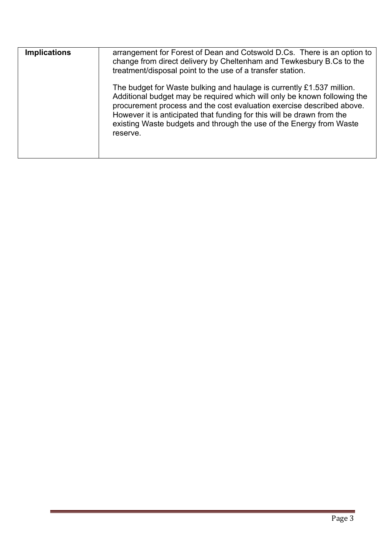| <b>Implications</b> | arrangement for Forest of Dean and Cotswold D.Cs. There is an option to<br>change from direct delivery by Cheltenham and Tewkesbury B.Cs to the<br>treatment/disposal point to the use of a transfer station.                                                                                                                                                                           |
|---------------------|-----------------------------------------------------------------------------------------------------------------------------------------------------------------------------------------------------------------------------------------------------------------------------------------------------------------------------------------------------------------------------------------|
|                     | The budget for Waste bulking and haulage is currently £1.537 million.<br>Additional budget may be required which will only be known following the<br>procurement process and the cost evaluation exercise described above.<br>However it is anticipated that funding for this will be drawn from the<br>existing Waste budgets and through the use of the Energy from Waste<br>reserve. |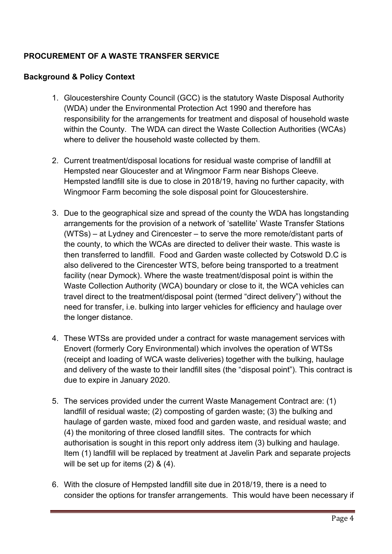# **PROCUREMENT OF A WASTE TRANSFER SERVICE**

#### **Background & Policy Context**

- 1. Gloucestershire County Council (GCC) is the statutory Waste Disposal Authority (WDA) under the Environmental Protection Act 1990 and therefore has responsibility for the arrangements for treatment and disposal of household waste within the County. The WDA can direct the Waste Collection Authorities (WCAs) where to deliver the household waste collected by them.
- 2. Current treatment/disposal locations for residual waste comprise of landfill at Hempsted near Gloucester and at Wingmoor Farm near Bishops Cleeve. Hempsted landfill site is due to close in 2018/19, having no further capacity, with Wingmoor Farm becoming the sole disposal point for Gloucestershire.
- 3. Due to the geographical size and spread of the county the WDA has longstanding arrangements for the provision of a network of 'satellite' Waste Transfer Stations (WTSs) – at Lydney and Cirencester – to serve the more remote/distant parts of the county, to which the WCAs are directed to deliver their waste. This waste is then transferred to landfill. Food and Garden waste collected by Cotswold D.C is also delivered to the Cirencester WTS, before being transported to a treatment facility (near Dymock). Where the waste treatment/disposal point is within the Waste Collection Authority (WCA) boundary or close to it, the WCA vehicles can travel direct to the treatment/disposal point (termed "direct delivery") without the need for transfer, i.e. bulking into larger vehicles for efficiency and haulage over the longer distance.
- 4. These WTSs are provided under a contract for waste management services with Enovert (formerly Cory Environmental) which involves the operation of WTSs (receipt and loading of WCA waste deliveries) together with the bulking, haulage and delivery of the waste to their landfill sites (the "disposal point"). This contract is due to expire in January 2020.
- 5. The services provided under the current Waste Management Contract are: (1) landfill of residual waste; (2) composting of garden waste; (3) the bulking and haulage of garden waste, mixed food and garden waste, and residual waste; and (4) the monitoring of three closed landfill sites. The contracts for which authorisation is sought in this report only address item (3) bulking and haulage. Item (1) landfill will be replaced by treatment at Javelin Park and separate projects will be set up for items (2) & (4).
- 6. With the closure of Hempsted landfill site due in 2018/19, there is a need to consider the options for transfer arrangements. This would have been necessary if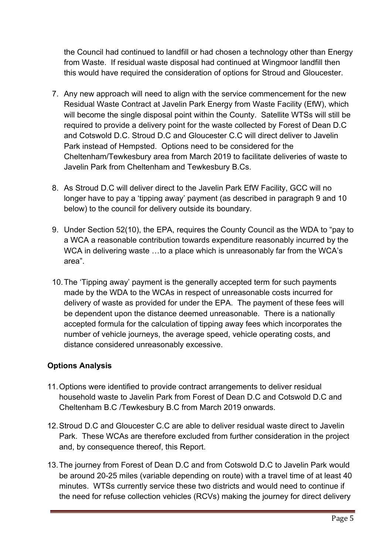the Council had continued to landfill or had chosen a technology other than Energy from Waste. If residual waste disposal had continued at Wingmoor landfill then this would have required the consideration of options for Stroud and Gloucester.

- 7. Any new approach will need to align with the service commencement for the new Residual Waste Contract at Javelin Park Energy from Waste Facility (EfW), which will become the single disposal point within the County. Satellite WTSs will still be required to provide a delivery point for the waste collected by Forest of Dean D.C and Cotswold D.C. Stroud D.C and Gloucester C.C will direct deliver to Javelin Park instead of Hempsted. Options need to be considered for the Cheltenham/Tewkesbury area from March 2019 to facilitate deliveries of waste to Javelin Park from Cheltenham and Tewkesbury B.Cs.
- 8. As Stroud D.C will deliver direct to the Javelin Park EfW Facility, GCC will no longer have to pay a 'tipping away' payment (as described in paragraph [9](#page-4-0) and [10](#page-4-1) below) to the council for delivery outside its boundary.
- <span id="page-4-0"></span>9. Under Section 52(10), the EPA, requires the County Council as the WDA to "pay to a WCA a reasonable contribution towards expenditure reasonably incurred by the WCA in delivering waste …to a place which is unreasonably far from the WCA's area".
- <span id="page-4-1"></span>10.The 'Tipping away' payment is the generally accepted term for such payments made by the WDA to the WCAs in respect of unreasonable costs incurred for delivery of waste as provided for under the EPA. The payment of these fees will be dependent upon the distance deemed unreasonable. There is a nationally accepted formula for the calculation of tipping away fees which incorporates the number of vehicle journeys, the average speed, vehicle operating costs, and distance considered unreasonably excessive.

# **Options Analysis**

- 11.Options were identified to provide contract arrangements to deliver residual household waste to Javelin Park from Forest of Dean D.C and Cotswold D.C and Cheltenham B.C /Tewkesbury B.C from March 2019 onwards.
- 12.Stroud D.C and Gloucester C.C are able to deliver residual waste direct to Javelin Park. These WCAs are therefore excluded from further consideration in the project and, by consequence thereof, this Report.
- 13.The journey from Forest of Dean D.C and from Cotswold D.C to Javelin Park would be around 20-25 miles (variable depending on route) with a travel time of at least 40 minutes. WTSs currently service these two districts and would need to continue if the need for refuse collection vehicles (RCVs) making the journey for direct delivery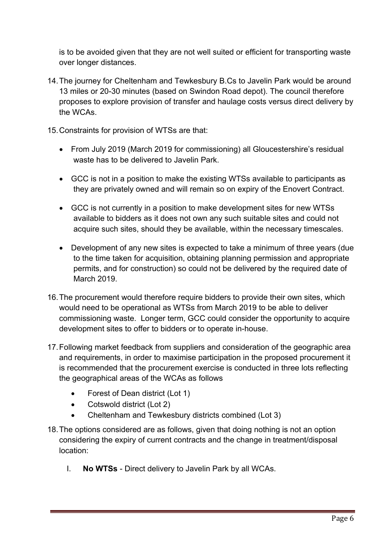is to be avoided given that they are not well suited or efficient for transporting waste over longer distances.

- 14.The journey for Cheltenham and Tewkesbury B.Cs to Javelin Park would be around 13 miles or 20-30 minutes (based on Swindon Road depot). The council therefore proposes to explore provision of transfer and haulage costs versus direct delivery by the WCAs.
- 15.Constraints for provision of WTSs are that:
	- From July 2019 (March 2019 for commissioning) all Gloucestershire's residual waste has to be delivered to Javelin Park.
	- GCC is not in a position to make the existing WTSs available to participants as they are privately owned and will remain so on expiry of the Enovert Contract.
	- GCC is not currently in a position to make development sites for new WTSs available to bidders as it does not own any such suitable sites and could not acquire such sites, should they be available, within the necessary timescales.
	- Development of any new sites is expected to take a minimum of three years (due to the time taken for acquisition, obtaining planning permission and appropriate permits, and for construction) so could not be delivered by the required date of March 2019.
- 16.The procurement would therefore require bidders to provide their own sites, which would need to be operational as WTSs from March 2019 to be able to deliver commissioning waste. Longer term, GCC could consider the opportunity to acquire development sites to offer to bidders or to operate in-house.
- <span id="page-5-0"></span>17.Following market feedback from suppliers and consideration of the geographic area and requirements, in order to maximise participation in the proposed procurement it is recommended that the procurement exercise is conducted in three lots reflecting the geographical areas of the WCAs as follows
	- Forest of Dean district (Lot 1)
	- Cotswold district (Lot 2)
	- Cheltenham and Tewkesbury districts combined (Lot 3)
- 18.The options considered are as follows, given that doing nothing is not an option considering the expiry of current contracts and the change in treatment/disposal location:
	- I. **No WTSs** Direct delivery to Javelin Park by all WCAs.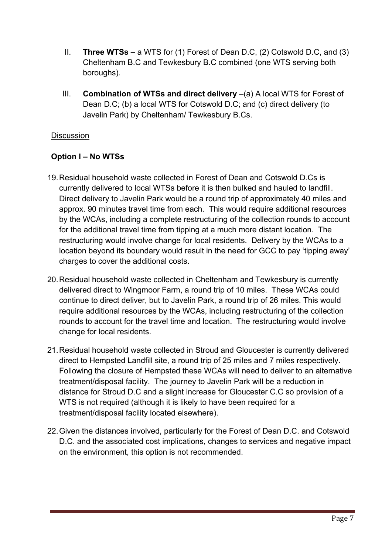- II. **Three WTSs –** a WTS for (1) Forest of Dean D.C, (2) Cotswold D.C, and (3) Cheltenham B.C and Tewkesbury B.C combined (one WTS serving both boroughs).
- III. **Combination of WTSs and direct delivery** –(a) A local WTS for Forest of Dean D.C; (b) a local WTS for Cotswold D.C; and (c) direct delivery (to Javelin Park) by Cheltenham/ Tewkesbury B.Cs.

#### **Discussion**

#### **Option I – No WTSs**

- <span id="page-6-0"></span>19.Residual household waste collected in Forest of Dean and Cotswold D.Cs is currently delivered to local WTSs before it is then bulked and hauled to landfill. Direct delivery to Javelin Park would be a round trip of approximately 40 miles and approx. 90 minutes travel time from each. This would require additional resources by the WCAs, including a complete restructuring of the collection rounds to account for the additional travel time from tipping at a much more distant location. The restructuring would involve change for local residents. Delivery by the WCAs to a location beyond its boundary would result in the need for GCC to pay 'tipping away' charges to cover the additional costs.
- 20.Residual household waste collected in Cheltenham and Tewkesbury is currently delivered direct to Wingmoor Farm, a round trip of 10 miles. These WCAs could continue to direct deliver, but to Javelin Park, a round trip of 26 miles. This would require additional resources by the WCAs, including restructuring of the collection rounds to account for the travel time and location. The restructuring would involve change for local residents.
- 21.Residual household waste collected in Stroud and Gloucester is currently delivered direct to Hempsted Landfill site, a round trip of 25 miles and 7 miles respectively. Following the closure of Hempsted these WCAs will need to deliver to an alternative treatment/disposal facility. The journey to Javelin Park will be a reduction in distance for Stroud D.C and a slight increase for Gloucester C.C so provision of a WTS is not required (although it is likely to have been required for a treatment/disposal facility located elsewhere).
- 22.Given the distances involved, particularly for the Forest of Dean D.C. and Cotswold D.C. and the associated cost implications, changes to services and negative impact on the environment, this option is not recommended.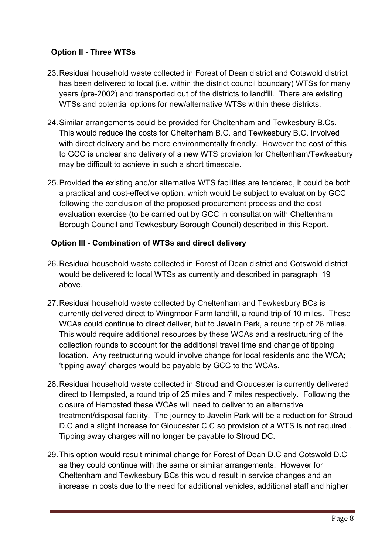# **Option II - Three WTSs**

- 23.Residual household waste collected in Forest of Dean district and Cotswold district has been delivered to local (i.e. within the district council boundary) WTSs for many years (pre-2002) and transported out of the districts to landfill. There are existing WTSs and potential options for new/alternative WTSs within these districts.
- 24.Similar arrangements could be provided for Cheltenham and Tewkesbury B.Cs. This would reduce the costs for Cheltenham B.C. and Tewkesbury B.C. involved with direct delivery and be more environmentally friendly. However the cost of this to GCC is unclear and delivery of a new WTS provision for Cheltenham/Tewkesbury may be difficult to achieve in such a short timescale.
- 25.Provided the existing and/or alternative WTS facilities are tendered, it could be both a practical and cost-effective option, which would be subject to evaluation by GCC following the conclusion of the proposed procurement process and the cost evaluation exercise (to be carried out by GCC in consultation with Cheltenham Borough Council and Tewkesbury Borough Council) described in this Report.

# **Option III - Combination of WTSs and direct delivery**

- 26.Residual household waste collected in Forest of Dean district and Cotswold district would be delivered to local WTSs as currently and described in paragraph [19](#page-6-0) above.
- 27.Residual household waste collected by Cheltenham and Tewkesbury BCs is currently delivered direct to Wingmoor Farm landfill, a round trip of 10 miles. These WCAs could continue to direct deliver, but to Javelin Park, a round trip of 26 miles. This would require additional resources by these WCAs and a restructuring of the collection rounds to account for the additional travel time and change of tipping location. Any restructuring would involve change for local residents and the WCA; 'tipping away' charges would be payable by GCC to the WCAs.
- 28.Residual household waste collected in Stroud and Gloucester is currently delivered direct to Hempsted, a round trip of 25 miles and 7 miles respectively. Following the closure of Hempsted these WCAs will need to deliver to an alternative treatment/disposal facility. The journey to Javelin Park will be a reduction for Stroud D.C and a slight increase for Gloucester C.C so provision of a WTS is not required . Tipping away charges will no longer be payable to Stroud DC.
- 29.This option would result minimal change for Forest of Dean D.C and Cotswold D.C as they could continue with the same or similar arrangements. However for Cheltenham and Tewkesbury BCs this would result in service changes and an increase in costs due to the need for additional vehicles, additional staff and higher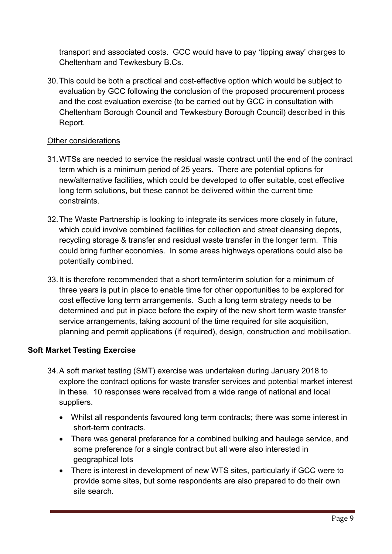transport and associated costs. GCC would have to pay 'tipping away' charges to Cheltenham and Tewkesbury B.Cs.

30.This could be both a practical and cost-effective option which would be subject to evaluation by GCC following the conclusion of the proposed procurement process and the cost evaluation exercise (to be carried out by GCC in consultation with Cheltenham Borough Council and Tewkesbury Borough Council) described in this Report.

#### Other considerations

- 31.WTSs are needed to service the residual waste contract until the end of the contract term which is a minimum period of 25 years. There are potential options for new/alternative facilities, which could be developed to offer suitable, cost effective long term solutions, but these cannot be delivered within the current time constraints.
- 32.The Waste Partnership is looking to integrate its services more closely in future, which could involve combined facilities for collection and street cleansing depots, recycling storage & transfer and residual waste transfer in the longer term. This could bring further economies. In some areas highways operations could also be potentially combined.
- 33.It is therefore recommended that a short term/interim solution for a minimum of three years is put in place to enable time for other opportunities to be explored for cost effective long term arrangements. Such a long term strategy needs to be determined and put in place before the expiry of the new short term waste transfer service arrangements, taking account of the time required for site acquisition, planning and permit applications (if required), design, construction and mobilisation.

#### **Soft Market Testing Exercise**

- 34.A soft market testing (SMT) exercise was undertaken during January 2018 to explore the contract options for waste transfer services and potential market interest in these. 10 responses were received from a wide range of national and local suppliers.
	- Whilst all respondents favoured long term contracts; there was some interest in short-term contracts.
	- There was general preference for a combined bulking and haulage service, and some preference for a single contract but all were also interested in geographical lots
	- There is interest in development of new WTS sites, particularly if GCC were to provide some sites, but some respondents are also prepared to do their own site search.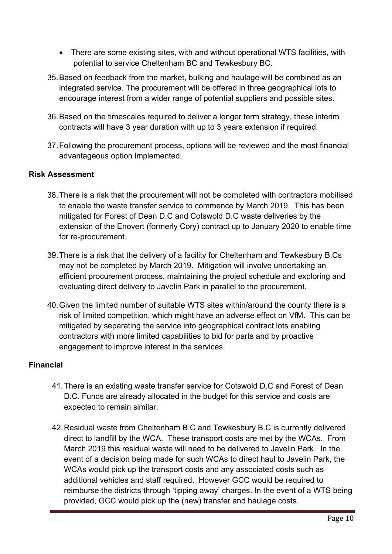- There are some existing sites, with and without operational WTS facilities, with potential to service Cheltenham BC and Tewkesbury BC.
- 35.Based on feedback from the market, bulking and haulage will be combined as an integrated service. The procurement will be offered in three geographical lots to encourage interest from a wider range of potential suppliers and possible sites.
- 36.Based on the timescales required to deliver a longer term strategy, these interim contracts will have 3 year duration with up to 3 years extension if required.
- 37.Following the procurement process, options will be reviewed and the most financial advantageous option implemented.

#### **Risk Assessment**

- 38.There is a risk that the procurement will not be completed with contractors mobilised to enable the waste transfer service to commence by March 2019. This has been mitigated for Forest of Dean D.C and Cotswold D.C waste deliveries by the extension of the Enovert (formerly Cory) contract up to January 2020 to enable time for re-procurement.
- 39.There is a risk that the delivery of a facility for Cheltenham and Tewkesbury B.Cs may not be completed by March 2019. Mitigation will involve undertaking an efficient procurement process, maintaining the project schedule and exploring and evaluating direct delivery to Javelin Park in parallel to the procurement.
- 40.Given the limited number of suitable WTS sites within/around the county there is a risk of limited competition, which might have an adverse effect on VfM. This can be mitigated by separating the service into geographical contract lots enabling contractors with more limited capabilities to bid for parts and by proactive engagement to improve interest in the services.

#### **Financial**

- 41.There is an existing waste transfer service for Cotswold D.C and Forest of Dean D.C. Funds are already allocated in the budget for this service and costs are expected to remain similar.
- 42.Residual waste from Cheltenham B.C and Tewkesbury B.C is currently delivered direct to landfill by the WCA. These transport costs are met by the WCAs. From March 2019 this residual waste will need to be delivered to Javelin Park. In the event of a decision being made for such WCAs to direct haul to Javelin Park, the WCAs would pick up the transport costs and any associated costs such as additional vehicles and staff required. However GCC would be required to reimburse the districts through 'tipping away' charges. In the event of a WTS being provided, GCC would pick up the (new) transfer and haulage costs.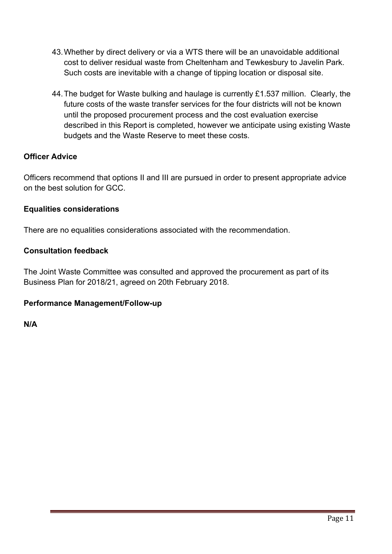- 43.Whether by direct delivery or via a WTS there will be an unavoidable additional cost to deliver residual waste from Cheltenham and Tewkesbury to Javelin Park. Such costs are inevitable with a change of tipping location or disposal site.
- 44.The budget for Waste bulking and haulage is currently £1.537 million. Clearly, the future costs of the waste transfer services for the four districts will not be known until the proposed procurement process and the cost evaluation exercise described in this Report is completed, however we anticipate using existing Waste budgets and the Waste Reserve to meet these costs.

### **Officer Advice**

Officers recommend that options II and III are pursued in order to present appropriate advice on the best solution for GCC.

#### **Equalities considerations**

There are no equalities considerations associated with the recommendation.

#### **Consultation feedback**

The Joint Waste Committee was consulted and approved the procurement as part of its Business Plan for 2018/21, agreed on 20th February 2018.

#### **Performance Management/Follow-up**

**N/A**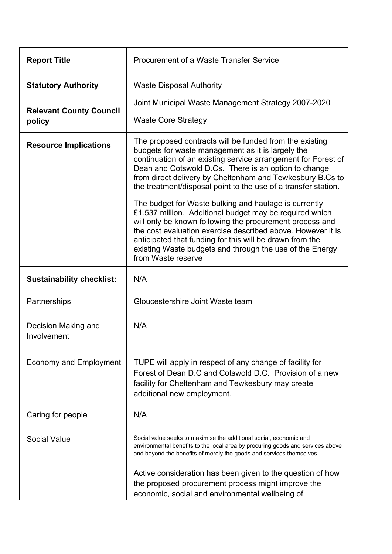| <b>Report Title</b>                      | Procurement of a Waste Transfer Service                                                                                                                                                                                                                                                                                                                                                                                                                                                                                                                                                                                                                                                                                                                           |
|------------------------------------------|-------------------------------------------------------------------------------------------------------------------------------------------------------------------------------------------------------------------------------------------------------------------------------------------------------------------------------------------------------------------------------------------------------------------------------------------------------------------------------------------------------------------------------------------------------------------------------------------------------------------------------------------------------------------------------------------------------------------------------------------------------------------|
| <b>Statutory Authority</b>               | <b>Waste Disposal Authority</b>                                                                                                                                                                                                                                                                                                                                                                                                                                                                                                                                                                                                                                                                                                                                   |
| <b>Relevant County Council</b><br>policy | Joint Municipal Waste Management Strategy 2007-2020<br><b>Waste Core Strategy</b>                                                                                                                                                                                                                                                                                                                                                                                                                                                                                                                                                                                                                                                                                 |
| <b>Resource Implications</b>             | The proposed contracts will be funded from the existing<br>budgets for waste management as it is largely the<br>continuation of an existing service arrangement for Forest of<br>Dean and Cotswold D.Cs. There is an option to change<br>from direct delivery by Cheltenham and Tewkesbury B.Cs to<br>the treatment/disposal point to the use of a transfer station.<br>The budget for Waste bulking and haulage is currently<br>£1.537 million. Additional budget may be required which<br>will only be known following the procurement process and<br>the cost evaluation exercise described above. However it is<br>anticipated that funding for this will be drawn from the<br>existing Waste budgets and through the use of the Energy<br>from Waste reserve |
| <b>Sustainability checklist:</b>         | N/A                                                                                                                                                                                                                                                                                                                                                                                                                                                                                                                                                                                                                                                                                                                                                               |
| Partnerships                             | Gloucestershire Joint Waste team                                                                                                                                                                                                                                                                                                                                                                                                                                                                                                                                                                                                                                                                                                                                  |
| Decision Making and<br>Involvement       | N/A                                                                                                                                                                                                                                                                                                                                                                                                                                                                                                                                                                                                                                                                                                                                                               |
| <b>Economy and Employment</b>            | TUPE will apply in respect of any change of facility for<br>Forest of Dean D.C and Cotswold D.C. Provision of a new<br>facility for Cheltenham and Tewkesbury may create<br>additional new employment.                                                                                                                                                                                                                                                                                                                                                                                                                                                                                                                                                            |
| Caring for people                        | N/A                                                                                                                                                                                                                                                                                                                                                                                                                                                                                                                                                                                                                                                                                                                                                               |
| <b>Social Value</b>                      | Social value seeks to maximise the additional social, economic and<br>environmental benefits to the local area by procuring goods and services above<br>and beyond the benefits of merely the goods and services themselves.                                                                                                                                                                                                                                                                                                                                                                                                                                                                                                                                      |
|                                          | Active consideration has been given to the question of how<br>the proposed procurement process might improve the<br>economic, social and environmental wellbeing of                                                                                                                                                                                                                                                                                                                                                                                                                                                                                                                                                                                               |